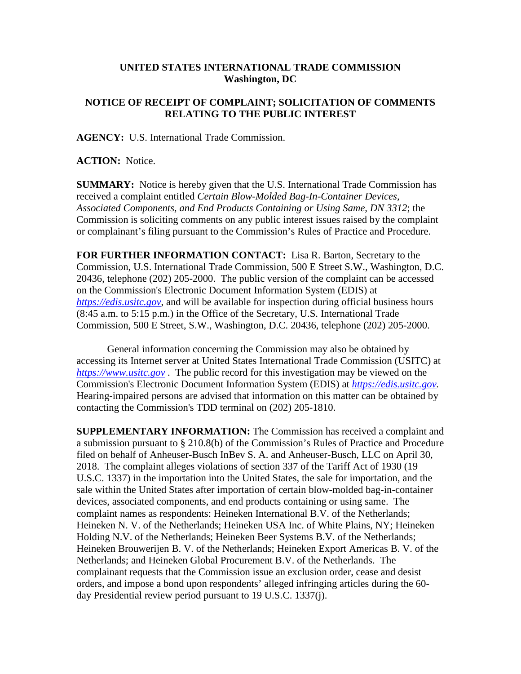## **UNITED STATES INTERNATIONAL TRADE COMMISSION Washington, DC**

## **NOTICE OF RECEIPT OF COMPLAINT; SOLICITATION OF COMMENTS RELATING TO THE PUBLIC INTEREST**

**AGENCY:** U.S. International Trade Commission.

**ACTION:** Notice.

**SUMMARY:** Notice is hereby given that the U.S. International Trade Commission has received a complaint entitled *Certain Blow-Molded Bag-In-Container Devices, Associated Components, and End Products Containing or Using Same, DN 3312*; the Commission is soliciting comments on any public interest issues raised by the complaint or complainant's filing pursuant to the Commission's Rules of Practice and Procedure.

**FOR FURTHER INFORMATION CONTACT:** Lisa R. Barton, Secretary to the Commission, U.S. International Trade Commission, 500 E Street S.W., Washington, D.C. 20436, telephone (202) 205-2000. The public version of the complaint can be accessed on the Commission's Electronic Document Information System (EDIS) at *[https://edis.usitc.gov](https://edis.usitc.gov/)*, and will be available for inspection during official business hours (8:45 a.m. to 5:15 p.m.) in the Office of the Secretary, U.S. International Trade Commission, 500 E Street, S.W., Washington, D.C. 20436, telephone (202) 205-2000.

General information concerning the Commission may also be obtained by accessing its Internet server at United States International Trade Commission (USITC) at *[https://www.usitc.gov](https://www.usitc.gov/)* . The public record for this investigation may be viewed on the Commission's Electronic Document Information System (EDIS) at *[https://edis.usitc.gov.](https://edis.usitc.gov/)* Hearing-impaired persons are advised that information on this matter can be obtained by contacting the Commission's TDD terminal on (202) 205-1810.

**SUPPLEMENTARY INFORMATION:** The Commission has received a complaint and a submission pursuant to § 210.8(b) of the Commission's Rules of Practice and Procedure filed on behalf of Anheuser-Busch InBev S. A. and Anheuser-Busch, LLC on April 30, 2018. The complaint alleges violations of section 337 of the Tariff Act of 1930 (19 U.S.C. 1337) in the importation into the United States, the sale for importation, and the sale within the United States after importation of certain blow-molded bag-in-container devices, associated components, and end products containing or using same. The complaint names as respondents: Heineken International B.V. of the Netherlands; Heineken N. V. of the Netherlands; Heineken USA Inc. of White Plains, NY; Heineken Holding N.V. of the Netherlands; Heineken Beer Systems B.V. of the Netherlands; Heineken Brouwerijen B. V. of the Netherlands; Heineken Export Americas B. V. of the Netherlands; and Heineken Global Procurement B.V. of the Netherlands. The complainant requests that the Commission issue an exclusion order, cease and desist orders, and impose a bond upon respondents' alleged infringing articles during the 60 day Presidential review period pursuant to 19 U.S.C. 1337(j).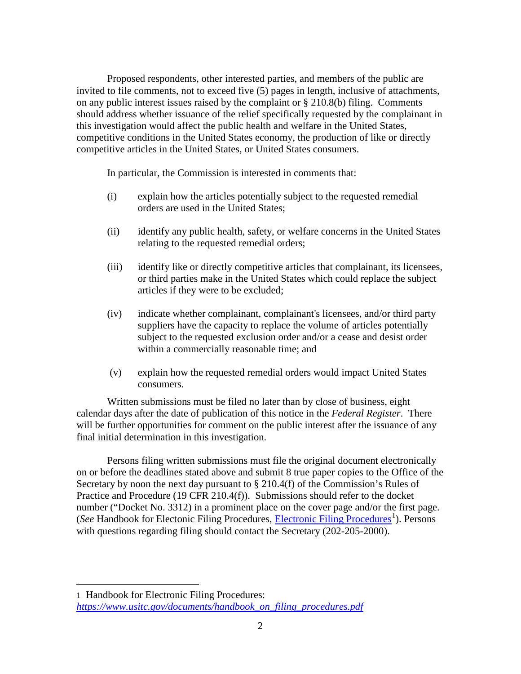Proposed respondents, other interested parties, and members of the public are invited to file comments, not to exceed five (5) pages in length, inclusive of attachments, on any public interest issues raised by the complaint or § 210.8(b) filing. Comments should address whether issuance of the relief specifically requested by the complainant in this investigation would affect the public health and welfare in the United States, competitive conditions in the United States economy, the production of like or directly competitive articles in the United States, or United States consumers.

In particular, the Commission is interested in comments that:

- (i) explain how the articles potentially subject to the requested remedial orders are used in the United States;
- (ii) identify any public health, safety, or welfare concerns in the United States relating to the requested remedial orders;
- (iii) identify like or directly competitive articles that complainant, its licensees, or third parties make in the United States which could replace the subject articles if they were to be excluded;
- (iv) indicate whether complainant, complainant's licensees, and/or third party suppliers have the capacity to replace the volume of articles potentially subject to the requested exclusion order and/or a cease and desist order within a commercially reasonable time; and
- (v) explain how the requested remedial orders would impact United States consumers.

Written submissions must be filed no later than by close of business, eight calendar days after the date of publication of this notice in the *Federal Register*. There will be further opportunities for comment on the public interest after the issuance of any final initial determination in this investigation.

Persons filing written submissions must file the original document electronically on or before the deadlines stated above and submit 8 true paper copies to the Office of the Secretary by noon the next day pursuant to  $\S 210.4(f)$  of the Commission's Rules of Practice and Procedure (19 CFR 210.4(f)). Submissions should refer to the docket number ("Docket No. 3312) in a prominent place on the cover page and/or the first page. (See Handbook for Electonic Filing Procedures, *Electronic Filing Procedures*<sup>[1](#page-1-0)</sup>). Persons with questions regarding filing should contact the Secretary (202-205-2000).

 $\overline{a}$ 

<span id="page-1-0"></span><sup>1</sup> Handbook for Electronic Filing Procedures: *[https://www.usitc.gov/documents/handbook\\_on\\_filing\\_procedures.pdf](https://www.usitc.gov/documents/handbook_on_filing_procedures.pdf)*